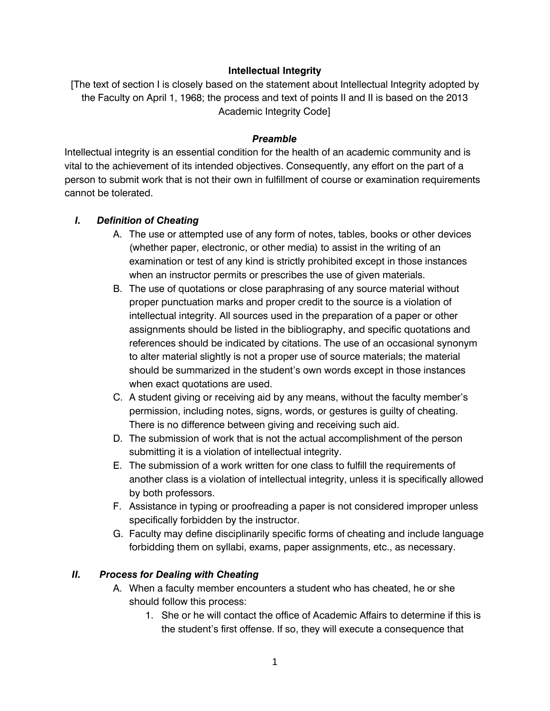#### **Intellectual Integrity**

[The text of section I is closely based on the statement about Intellectual Integrity adopted by the Faculty on April 1, 1968; the process and text of points II and II is based on the 2013 Academic Integrity Code]

#### *Preamble*

Intellectual integrity is an essential condition for the health of an academic community and is vital to the achievement of its intended objectives. Consequently, any effort on the part of a person to submit work that is not their own in fulfillment of course or examination requirements cannot be tolerated.

#### *I. Definition of Cheating*

- A. The use or attempted use of any form of notes, tables, books or other devices (whether paper, electronic, or other media) to assist in the writing of an examination or test of any kind is strictly prohibited except in those instances when an instructor permits or prescribes the use of given materials.
- B. The use of quotations or close paraphrasing of any source material without proper punctuation marks and proper credit to the source is a violation of intellectual integrity. All sources used in the preparation of a paper or other assignments should be listed in the bibliography, and specific quotations and references should be indicated by citations. The use of an occasional synonym to alter material slightly is not a proper use of source materials; the material should be summarized in the student's own words except in those instances when exact quotations are used.
- C. A student giving or receiving aid by any means, without the faculty member's permission, including notes, signs, words, or gestures is guilty of cheating. There is no difference between giving and receiving such aid.
- D. The submission of work that is not the actual accomplishment of the person submitting it is a violation of intellectual integrity.
- E. The submission of a work written for one class to fulfill the requirements of another class is a violation of intellectual integrity, unless it is specifically allowed by both professors.
- F. Assistance in typing or proofreading a paper is not considered improper unless specifically forbidden by the instructor.
- G. Faculty may define disciplinarily specific forms of cheating and include language forbidding them on syllabi, exams, paper assignments, etc., as necessary.

#### *II. Process for Dealing with Cheating*

- A. When a faculty member encounters a student who has cheated, he or she should follow this process:
	- 1. She or he will contact the office of Academic Affairs to determine if this is the student's first offense. If so, they will execute a consequence that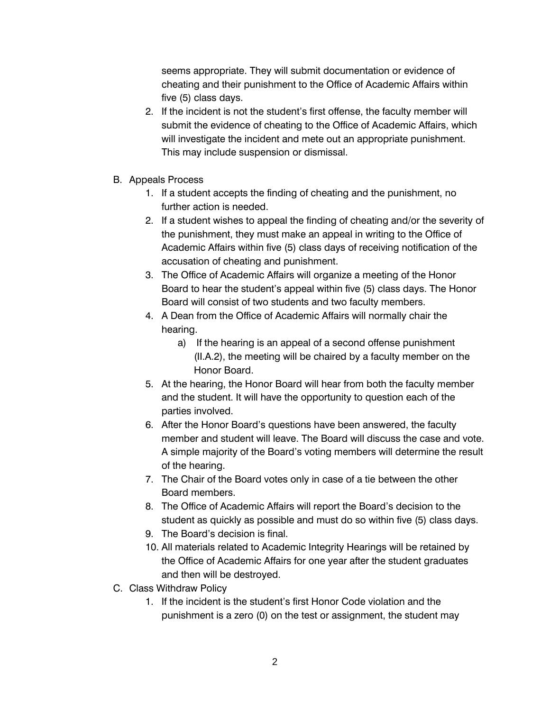seems appropriate. They will submit documentation or evidence of cheating and their punishment to the Office of Academic Affairs within five (5) class days.

- 2. If the incident is not the student's first offense, the faculty member will submit the evidence of cheating to the Office of Academic Affairs, which will investigate the incident and mete out an appropriate punishment. This may include suspension or dismissal.
- B. Appeals Process
	- 1. If a student accepts the finding of cheating and the punishment, no further action is needed.
	- 2. If a student wishes to appeal the finding of cheating and/or the severity of the punishment, they must make an appeal in writing to the Office of Academic Affairs within five (5) class days of receiving notification of the accusation of cheating and punishment.
	- 3. The Office of Academic Affairs will organize a meeting of the Honor Board to hear the student's appeal within five (5) class days. The Honor Board will consist of two students and two faculty members.
	- 4. A Dean from the Office of Academic Affairs will normally chair the hearing.
		- a) If the hearing is an appeal of a second offense punishment (II.A.2), the meeting will be chaired by a faculty member on the Honor Board.
	- 5. At the hearing, the Honor Board will hear from both the faculty member and the student. It will have the opportunity to question each of the parties involved.
	- 6. After the Honor Board's questions have been answered, the faculty member and student will leave. The Board will discuss the case and vote. A simple majority of the Board's voting members will determine the result of the hearing.
	- 7. The Chair of the Board votes only in case of a tie between the other Board members.
	- 8. The Office of Academic Affairs will report the Board's decision to the student as quickly as possible and must do so within five (5) class days.
	- 9. The Board's decision is final.
	- 10. All materials related to Academic Integrity Hearings will be retained by the Office of Academic Affairs for one year after the student graduates and then will be destroyed.
- C. Class Withdraw Policy
	- 1. If the incident is the student's first Honor Code violation and the punishment is a zero (0) on the test or assignment, the student may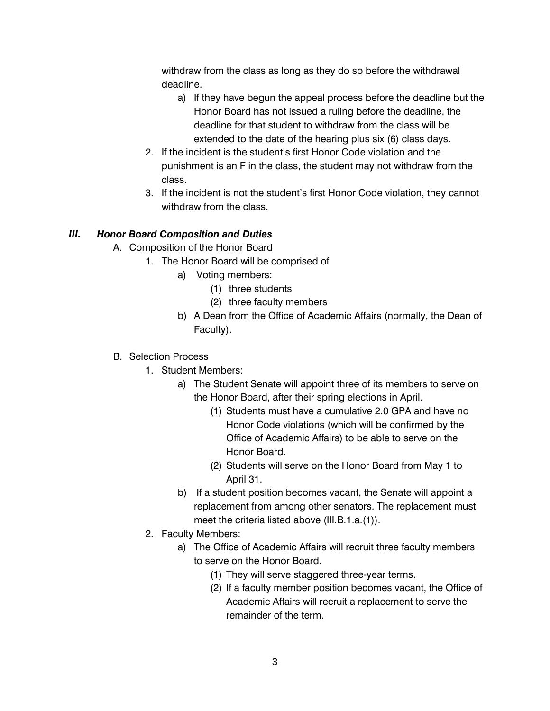withdraw from the class as long as they do so before the withdrawal deadline.

- a) If they have begun the appeal process before the deadline but the Honor Board has not issued a ruling before the deadline, the deadline for that student to withdraw from the class will be extended to the date of the hearing plus six (6) class days.
- 2. If the incident is the student's first Honor Code violation and the punishment is an F in the class, the student may not withdraw from the class.
- 3. If the incident is not the student's first Honor Code violation, they cannot withdraw from the class.

## *III. Honor Board Composition and Duties*

- A. Composition of the Honor Board
	- 1. The Honor Board will be comprised of
		- a) Voting members:
			- (1) three students
			- (2) three faculty members
		- b) A Dean from the Office of Academic Affairs (normally, the Dean of Faculty).

### B. Selection Process

- 1. Student Members:
	- a) The Student Senate will appoint three of its members to serve on the Honor Board, after their spring elections in April.
		- (1) Students must have a cumulative 2.0 GPA and have no Honor Code violations (which will be confirmed by the Office of Academic Affairs) to be able to serve on the Honor Board.
		- (2) Students will serve on the Honor Board from May 1 to April 31.
	- b) If a student position becomes vacant, the Senate will appoint a replacement from among other senators. The replacement must meet the criteria listed above (III.B.1.a.(1)).
- 2. Faculty Members:
	- a) The Office of Academic Affairs will recruit three faculty members to serve on the Honor Board.
		- (1) They will serve staggered three-year terms.
		- (2) If a faculty member position becomes vacant, the Office of Academic Affairs will recruit a replacement to serve the remainder of the term.